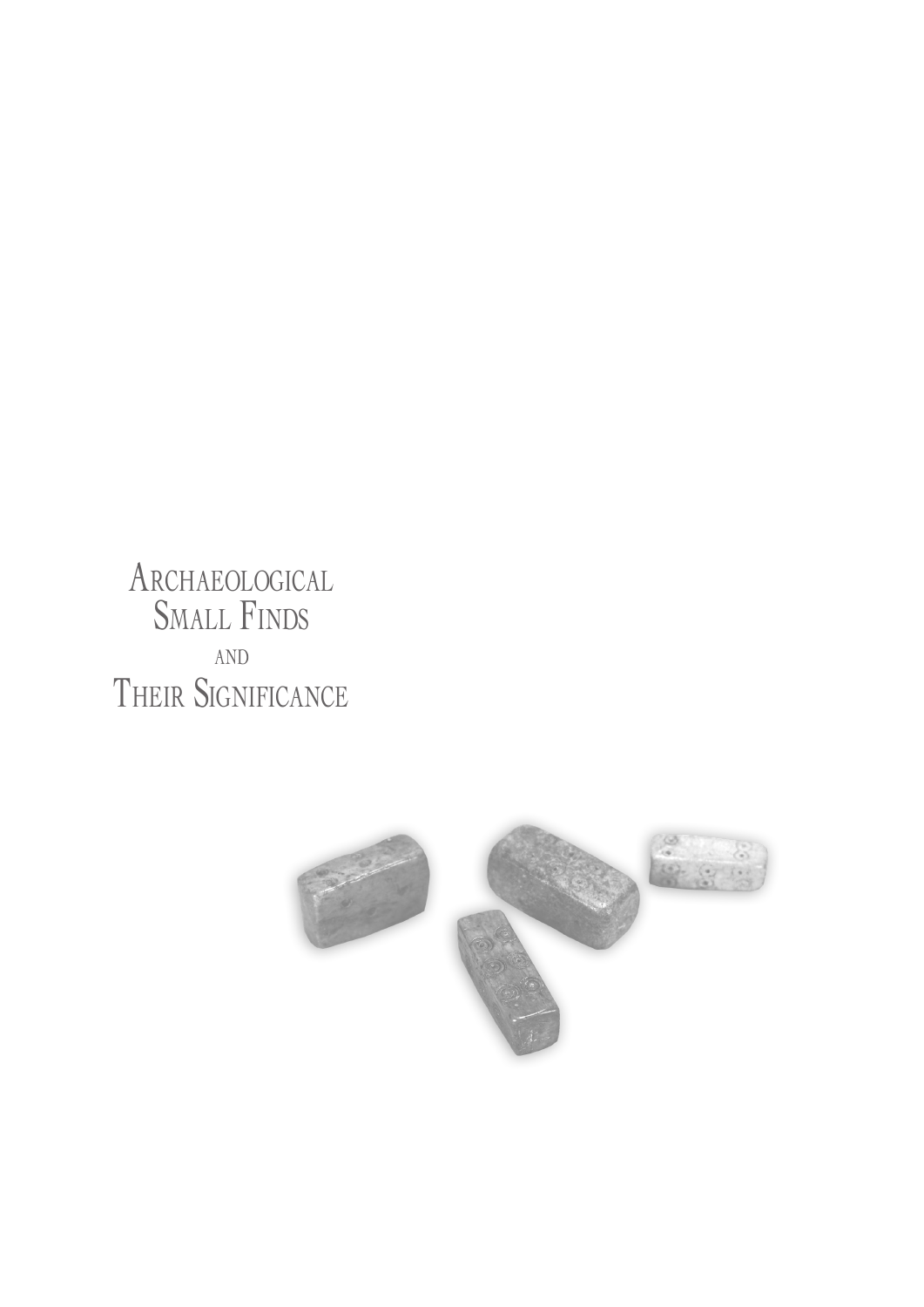Archaeological Small Finds and THEIR SIGNIFICANCE

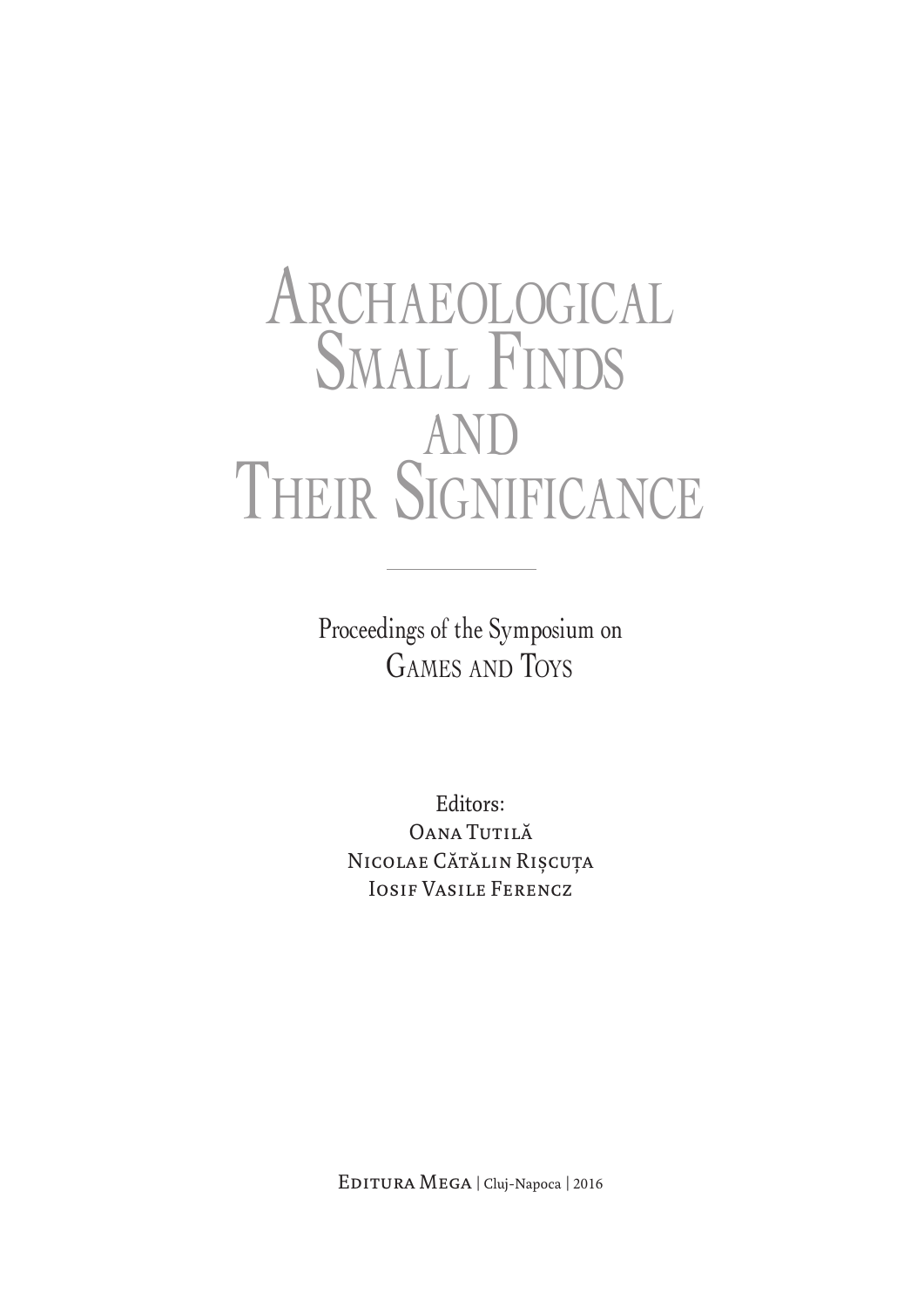# Archaeological SMALL FINDS and THEIR SIGNIFICANCE

Proceedings of the Symposium on Games and Toys

Editors: OANA TUTILĂ NICOLAE CĂTĂLIN RIȘCUȚA Iosif Vasile Ferencz

Editura Mega | Cluj-Napoca | 2016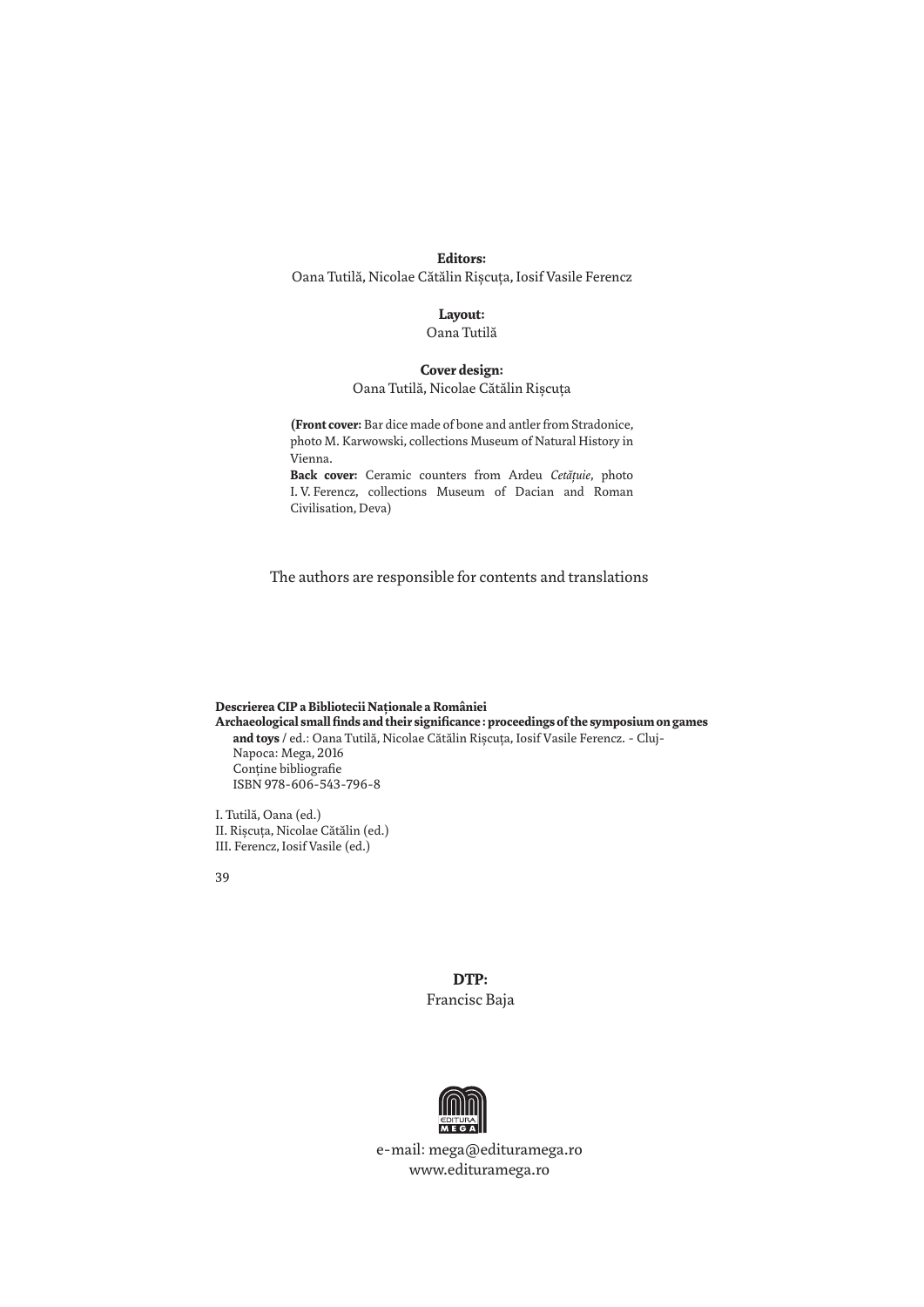#### **Editors:**

Oana Tutilă, Nicolae Cătălin Rişcuţa, Iosif Vasile Ferencz

### **Layout:**

Oana Tutilă

#### **Cover design:**

Oana Tutilă, Nicolae Cătălin Rişcuţa

**(Front cover:** Bar dice made of bone and antler from Stradonice, photo M. Karwowski, collections Museum of Natural History in Vienna.

**Back cover:** Ceramic counters from Ardeu *Cetăţuie*, photo I. V. Ferencz, collections Museum of Dacian and Roman Civilisation, Deva)

The authors are responsible for contents and translations

#### **Descrierea CIP a Bibliotecii Naţionale a României Archaeological small finds and their significance : proceedings of the symposium on games and toys** / ed.: Oana Tutilă, Nicolae Cătălin Rişcuţa, Iosif Vasile Ferencz. - Cluj-Napoca: Mega, 2016 Conține bibliografie ISBN 978-606-543-796-8

I. Tutilă, Oana (ed.) II. Rişcuţa, Nicolae Cătălin (ed.) III. Ferencz, Iosif Vasile (ed.)

39

**DTP:** Francisc Baja



e-mail: mega@edituramega.ro www.edituramega.ro